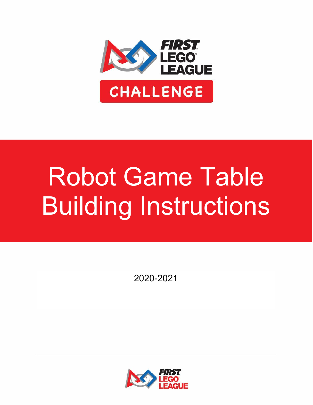

# Robot Game Table Building Instructions

2020-2021

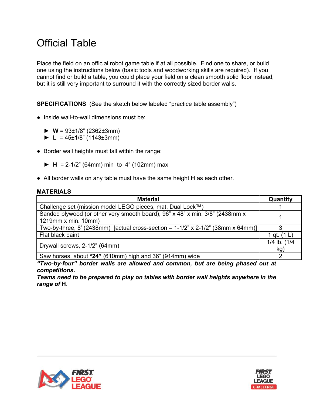## Official Table

Place the field on an official robot game table if at all possible. Find one to share, or build one using the instructions below (basic tools and woodworking skills are required). If you cannot find or build a table, you could place your field on a clean smooth solid floor instead, but it is still very important to surround it with the correctly sized border walls.

**SPECIFICATIONS** (See the sketch below labeled "practice table assembly")

- **●** Inside wall-to-wall dimensions must be:
	- $\triangleright$  **W** = 93±1/8" (2362±3mm)
	- $\blacktriangleright$  **L** = 45±1/8" (1143±3mm)
- **●** Border wall heights must fall within the range:
	- **► H** = 2-1/2" (64mm) min to 4" (102mm) max
- **●** All border walls on any table must have the same height **H** as each other.

#### **MATERIALS**

| <b>Material</b>                                                                     | Quantity      |
|-------------------------------------------------------------------------------------|---------------|
| Challenge set (mission model LEGO pieces, mat, Dual Lock™)                          |               |
| Sanded plywood (or other very smooth board), 96" x 48" x min. 3/8" (2438mm x        |               |
| 1219mm x min. 10mm)                                                                 |               |
| Two-by-three, 8' (2438mm) [actual cross-section = $1-1/2$ " x 2-1/2" (38mm x 64mm)] |               |
| Flat black paint                                                                    | 1 gt. $(1 L)$ |
| Drywall screws, 2-1/2" (64mm)                                                       | 1/4 lb. (1/4  |
|                                                                                     | kg)           |
| Saw horses, about *24" (610mm) high and 36" (914mm) wide                            |               |

*"Two-by-four" border walls are allowed and common, but are being phased out at competitions.*

*Teams need to be prepared to play on tables with border wall heights anywhere in the range of* **H**.



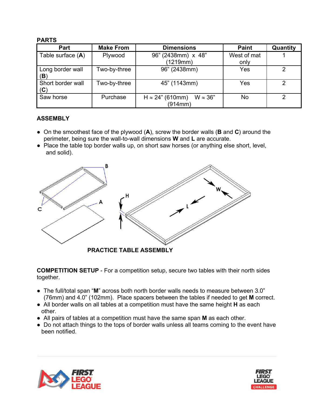#### **PARTS**

| Part                     | <b>Make From</b> | <b>Dimensions</b>                                      | <b>Paint</b> | Quantity       |
|--------------------------|------------------|--------------------------------------------------------|--------------|----------------|
| Table surface $(A)$      | Plywood          | 96" (2438mm) x 48"                                     | West of mat  |                |
|                          |                  | (1219mm)                                               | only         |                |
| Long border wall<br>(B)  | Two-by-three     | 96" (2438mm)                                           | Yes          | 2              |
| Short border wall<br>(C) | Two-by-three     | 45" (1143mm)                                           | Yes          | $\overline{2}$ |
| Saw horse                | Purchase         | $H \approx 24$ " (610mm)<br>$W \approx 36"$<br>(914mm) | No           | 2              |

### **ASSEMBLY**

- **●** On the smoothest face of the plywood (**A**), screw the border walls (**B** and **C**) around the perimeter, being sure the wall-to-wall dimensions **W** and **L** are accurate.
- **●** Place the table top border walls up, on short saw horses (or anything else short, level, and solid).



**COMPETITION SETUP** - For a competition setup, secure two tables with their north sides together.

- **●** The full/total span "**M**" across both north border walls needs to measure between 3.0" (76mm) and 4.0" (102mm). Place spacers between the tables if needed to get **M** correct.
- **●** All border walls on all tables at a competition must have the same height **H** as each other.
- All pairs of tables at a competition must have the same span **M** as each other.
- Do not attach things to the tops of border walls unless all teams coming to the event have been notified.